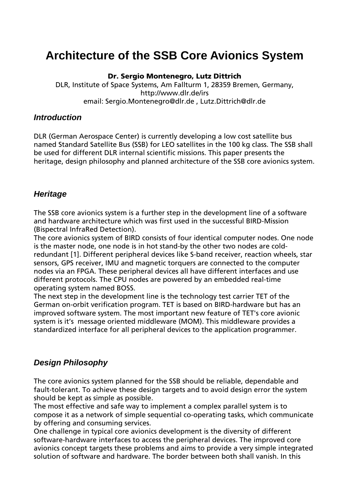# **Architecture of the SSB Core Avionics System**

**Dr. Sergio Montenegro, Lutz Dittrich** 

DLR, Institute of Space Systems, Am Fallturm 1, 28359 Bremen, Germany, http://www.dlr.de/irs email: Sergio.Montenegro@dlr.de , Lutz.Dittrich@dlr.de

#### *Introduction*

DLR (German Aerospace Center) is currently developing a low cost satellite bus named Standard Satellite Bus (SSB) for LEO satellites in the 100 kg class. The SSB shall be used for different DLR internal scientific missions. This paper presents the heritage, design philosophy and planned architecture of the SSB core avionics system.

## *Heritage*

The SSB core avionics system is a further step in the development line of a software and hardware architecture which was first used in the successful BIRD-Mission (Bispectral InfraRed Detection).

The core avionics system of BIRD consists of four identical computer nodes. One node is the master node, one node is in hot stand-by the other two nodes are coldredundant [1]. Different peripheral devices like S-band receiver, reaction wheels, star sensors, GPS receiver, IMU and magnetic torquers are connected to the computer nodes via an FPGA. These peripheral devices all have different interfaces and use different protocols. The CPU nodes are powered by an embedded real-time operating system named BOSS.

The next step in the development line is the technology test carrier TET of the German on-orbit verification program. TET is based on BIRD-hardware but has an improved software system. The most important new feature of TET's core avionic system is it's message oriented middleware (MOM). This middleware provides a standardized interface for all peripheral devices to the application programmer.

## *Design Philosophy*

The core avionics system planned for the SSB should be reliable, dependable and fault-tolerant. To achieve these design targets and to avoid design error the system should be kept as simple as possible.

The most effective and safe way to implement a complex parallel system is to compose it as a network of simple sequential co-operating tasks, which communicate by offering and consuming services.

One challenge in typical core avionics development is the diversity of different software-hardware interfaces to access the peripheral devices. The improved core avionics concept targets these problems and aims to provide a very simple integrated solution of software and hardware. The border between both shall vanish. In this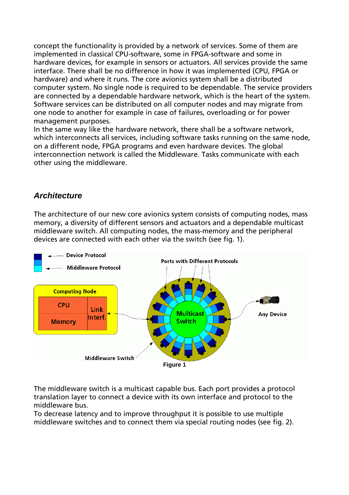concept the functionality is provided by a network of services. Some of them are implemented in classical CPU-software, some in FPGA-software and some in hardware devices, for example in sensors or actuators. All services provide the same interface. There shall be no difference in how it was implemented (CPU, FPGA or hardware) and where it runs. The core avionics system shall be a distributed computer system. No single node is required to be dependable. The service providers are connected by a dependable hardware network, which is the heart of the system. Software services can be distributed on all computer nodes and may migrate from one node to another for example in case of failures, overloading or for power management purposes.

In the same way like the hardware network, there shall be a software network, which interconnects all services, including software tasks running on the same node, on a different node, FPGA programs and even hardware devices. The global interconnection network is called the Middleware. Tasks communicate with each other using the middleware.

## *Architecture*

The architecture of our new core avionics system consists of computing nodes, mass memory, a diversity of different sensors and actuators and a dependable multicast middleware switch. All computing nodes, the mass-memory and the peripheral devices are connected with each other via the switch (see fig. 1).



The middleware switch is a multicast capable bus. Each port provides a protocol translation layer to connect a device with its own interface and protocol to the middleware bus.

To decrease latency and to improve throughput it is possible to use multiple middleware switches and to connect them via special routing nodes (see fig. 2).